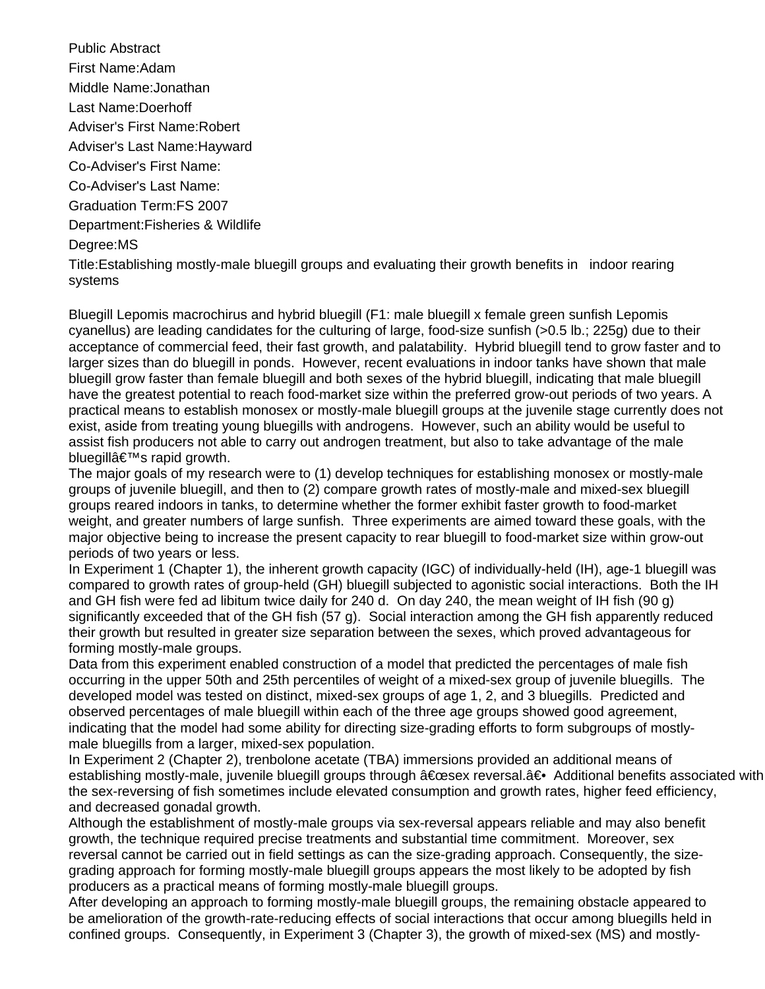Public Abstract First Name:Adam Middle Name:Jonathan Last Name:Doerhoff Adviser's First Name:Robert Adviser's Last Name:Hayward Co-Adviser's First Name: Co-Adviser's Last Name: Graduation Term:FS 2007 Department:Fisheries & Wildlife Degree:MS Title:Establishing mostly-male bluegill groups and evaluating their growth benefits in indoor rearing systems

Bluegill Lepomis macrochirus and hybrid bluegill (F1: male bluegill x female green sunfish Lepomis cyanellus) are leading candidates for the culturing of large, food-size sunfish (>0.5 lb.; 225g) due to their acceptance of commercial feed, their fast growth, and palatability. Hybrid bluegill tend to grow faster and to larger sizes than do bluegill in ponds. However, recent evaluations in indoor tanks have shown that male bluegill grow faster than female bluegill and both sexes of the hybrid bluegill, indicating that male bluegill have the greatest potential to reach food-market size within the preferred grow-out periods of two years. A practical means to establish monosex or mostly-male bluegill groups at the juvenile stage currently does not exist, aside from treating young bluegills with androgens. However, such an ability would be useful to assist fish producers not able to carry out androgen treatment, but also to take advantage of the male bluegill $\hat{\mathbf{a}} \in \mathbb{M}$ s rapid growth.

The major goals of my research were to (1) develop techniques for establishing monosex or mostly-male groups of juvenile bluegill, and then to (2) compare growth rates of mostly-male and mixed-sex bluegill groups reared indoors in tanks, to determine whether the former exhibit faster growth to food-market weight, and greater numbers of large sunfish. Three experiments are aimed toward these goals, with the major objective being to increase the present capacity to rear bluegill to food-market size within grow-out periods of two years or less. 

In Experiment 1 (Chapter 1), the inherent growth capacity (IGC) of individually-held (IH), age-1 bluegill was compared to growth rates of group-held (GH) bluegill subjected to agonistic social interactions. Both the IH and GH fish were fed ad libitum twice daily for 240 d. On day 240, the mean weight of IH fish (90 g) significantly exceeded that of the GH fish (57 g). Social interaction among the GH fish apparently reduced their growth but resulted in greater size separation between the sexes, which proved advantageous for forming mostly-male groups.

Data from this experiment enabled construction of a model that predicted the percentages of male fish occurring in the upper 50th and 25th percentiles of weight of a mixed-sex group of juvenile bluegills. The developed model was tested on distinct, mixed-sex groups of age 1, 2, and 3 bluegills. Predicted and observed percentages of male bluegill within each of the three age groups showed good agreement, indicating that the model had some ability for directing size-grading efforts to form subgroups of mostlymale bluegills from a larger, mixed-sex population.

In Experiment 2 (Chapter 2), trenbolone acetate (TBA) immersions provided an additional means of establishing mostly-male, juvenile bluegill groups through "sex reversal.― Additional benefits associated with the sex-reversing of fish sometimes include elevated consumption and growth rates, higher feed efficiency, and decreased gonadal growth.

Although the establishment of mostly-male groups via sex-reversal appears reliable and may also benefit growth, the technique required precise treatments and substantial time commitment. Moreover, sex reversal cannot be carried out in field settings as can the size-grading approach. Consequently, the sizegrading approach for forming mostly-male bluegill groups appears the most likely to be adopted by fish producers as a practical means of forming mostly-male bluegill groups.

After developing an approach to forming mostly-male bluegill groups, the remaining obstacle appeared to be amelioration of the growth-rate-reducing effects of social interactions that occur among bluegills held in confined groups. Consequently, in Experiment 3 (Chapter 3), the growth of mixed-sex (MS) and mostly